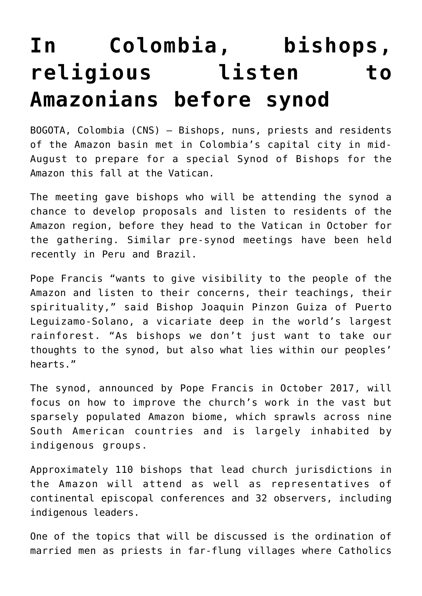## **[In Colombia, bishops,](https://www.osvnews.com/2019/08/16/in-colombia-bishops-religious-listen-to-amazonians-before-synod/) [religious listen to](https://www.osvnews.com/2019/08/16/in-colombia-bishops-religious-listen-to-amazonians-before-synod/) [Amazonians before synod](https://www.osvnews.com/2019/08/16/in-colombia-bishops-religious-listen-to-amazonians-before-synod/)**

BOGOTA, Colombia (CNS) — Bishops, nuns, priests and residents of the Amazon basin met in Colombia's capital city in mid-August to prepare for a special Synod of Bishops for the Amazon this fall at the Vatican.

The meeting gave bishops who will be attending the synod a chance to develop proposals and listen to residents of the Amazon region, before they head to the Vatican in October for the gathering. Similar pre-synod meetings have been held recently in Peru and Brazil.

Pope Francis "wants to give visibility to the people of the Amazon and listen to their concerns, their teachings, their spirituality," said Bishop Joaquin Pinzon Guiza of Puerto Leguizamo-Solano, a vicariate deep in the world's largest rainforest. "As bishops we don't just want to take our thoughts to the synod, but also what lies within our peoples' hearts."

The synod, announced by Pope Francis in October 2017, will focus on how to improve the church's work in the vast but sparsely populated Amazon biome, which sprawls across nine South American countries and is largely inhabited by indigenous groups.

Approximately 110 bishops that lead church jurisdictions in the Amazon will attend as well as representatives of continental episcopal conferences and 32 observers, including indigenous leaders.

One of the topics that will be discussed is the ordination of married men as priests in far-flung villages where Catholics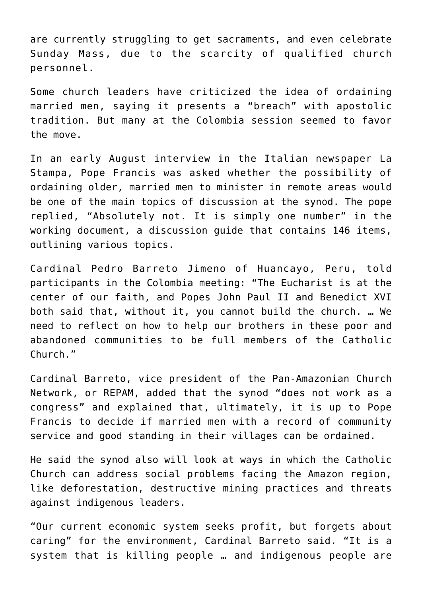are currently struggling to get sacraments, and even celebrate Sunday Mass, due to the scarcity of qualified church personnel.

Some church leaders have criticized the idea of ordaining married men, saying it presents a "breach" with apostolic tradition. But many at the Colombia session seemed to favor the move.

In an early August interview in the Italian newspaper La Stampa, Pope Francis was asked whether the possibility of ordaining older, married men to minister in remote areas would be one of the main topics of discussion at the synod. The pope replied, "Absolutely not. It is simply one number" in the working document, a discussion guide that contains 146 items, outlining various topics.

Cardinal Pedro Barreto Jimeno of Huancayo, Peru, told participants in the Colombia meeting: "The Eucharist is at the center of our faith, and Popes John Paul II and Benedict XVI both said that, without it, you cannot build the church. … We need to reflect on how to help our brothers in these poor and abandoned communities to be full members of the Catholic Church."

Cardinal Barreto, vice president of the Pan-Amazonian Church Network, or REPAM, added that the synod "does not work as a congress" and explained that, ultimately, it is up to Pope Francis to decide if married men with a record of community service and good standing in their villages can be ordained.

He said the synod also will look at ways in which the Catholic Church can address social problems facing the Amazon region, like deforestation, destructive mining practices and threats against indigenous leaders.

"Our current economic system seeks profit, but forgets about caring" for the environment, Cardinal Barreto said. "It is a system that is killing people … and indigenous people are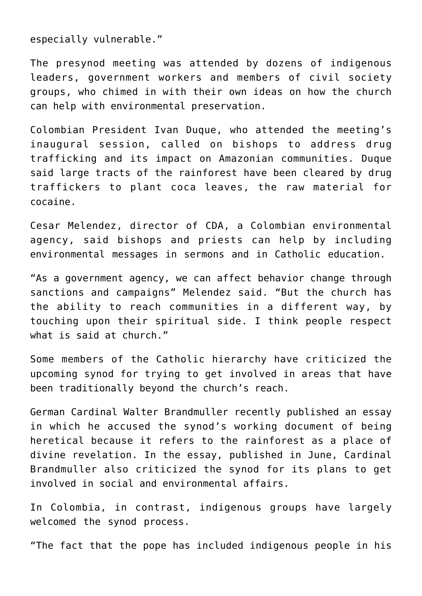especially vulnerable."

The presynod meeting was attended by dozens of indigenous leaders, government workers and members of civil society groups, who chimed in with their own ideas on how the church can help with environmental preservation.

Colombian President Ivan Duque, who attended the meeting's inaugural session, called on bishops to address drug trafficking and its impact on Amazonian communities. Duque said large tracts of the rainforest have been cleared by drug traffickers to plant coca leaves, the raw material for cocaine.

Cesar Melendez, director of CDA, a Colombian environmental agency, said bishops and priests can help by including environmental messages in sermons and in Catholic education.

"As a government agency, we can affect behavior change through sanctions and campaigns" Melendez said. "But the church has the ability to reach communities in a different way, by touching upon their spiritual side. I think people respect what is said at church."

Some members of the Catholic hierarchy have criticized the upcoming synod for trying to get involved in areas that have been traditionally beyond the church's reach.

German Cardinal Walter Brandmuller recently published an essay in which he accused the synod's working document of being heretical because it refers to the rainforest as a place of divine revelation. In the essay, published in June, Cardinal Brandmuller also criticized the synod for its plans to get involved in social and environmental affairs.

In Colombia, in contrast, indigenous groups have largely welcomed the synod process.

"The fact that the pope has included indigenous people in his